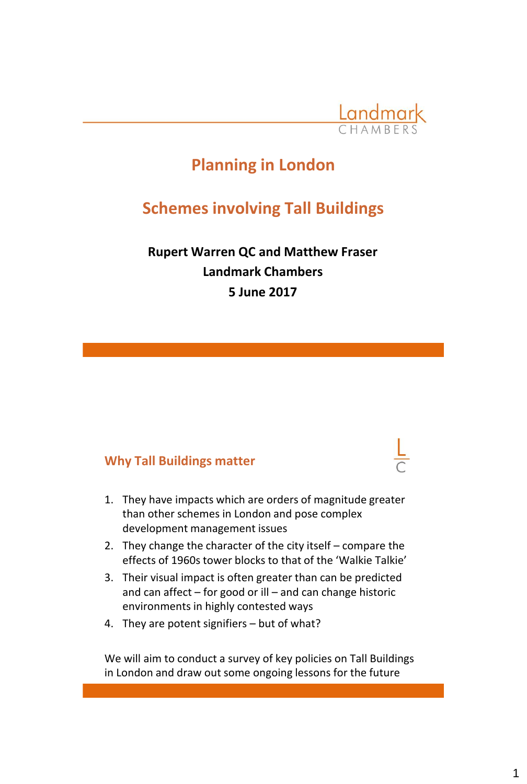

# **Planning in London**

# **Schemes involving Tall Buildings**

**Rupert Warren QC and Matthew Fraser Landmark Chambers 5 June 2017** 

#### **Why Tall Buildings matter**

- 1. They have impacts which are orders of magnitude greater than other schemes in London and pose complex development management issues
- 2. They change the character of the city itself compare the effects of 1960s tower blocks to that of the 'Walkie Talkie'
- 3. Their visual impact is often greater than can be predicted and can affect – for good or ill – and can change historic environments in highly contested ways
- 4. They are potent signifiers but of what?

We will aim to conduct a survey of key policies on Tall Buildings in London and draw out some ongoing lessons for the future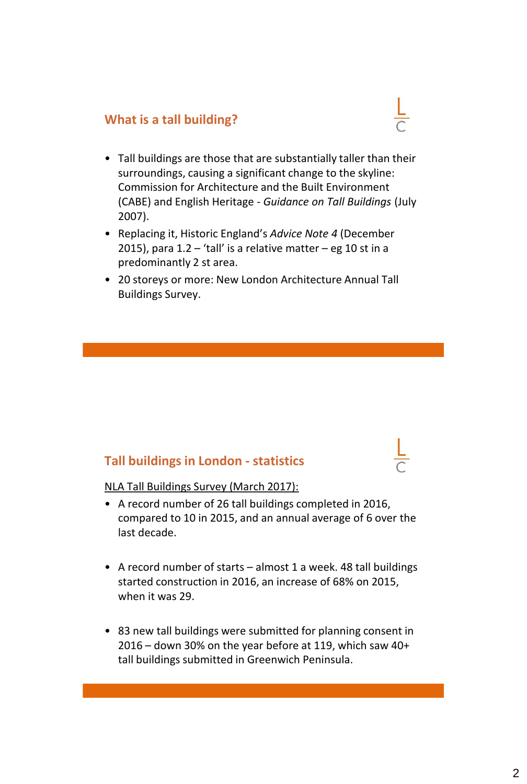#### **What is a tall building?**

- Tall buildings are those that are substantially taller than their surroundings, causing a significant change to the skyline: Commission for Architecture and the Built Environment (CABE) and English Heritage - *Guidance on Tall Buildings* (July 2007).
- Replacing it, Historic England's *Advice Note 4* (December 2015), para  $1.2 -$  'tall' is a relative matter – eg 10 st in a predominantly 2 st area.
- 20 storeys or more: New London Architecture Annual Tall Buildings Survey.

## **Tall buildings in London - statistics**



- A record number of 26 tall buildings completed in 2016, compared to 10 in 2015, and an annual average of 6 over the last decade.
- A record number of starts almost 1 a week. 48 tall buildings started construction in 2016, an increase of 68% on 2015, when it was 29.
- 83 new tall buildings were submitted for planning consent in 2016 – down 30% on the year before at 119, which saw 40+ tall buildings submitted in Greenwich Peninsula.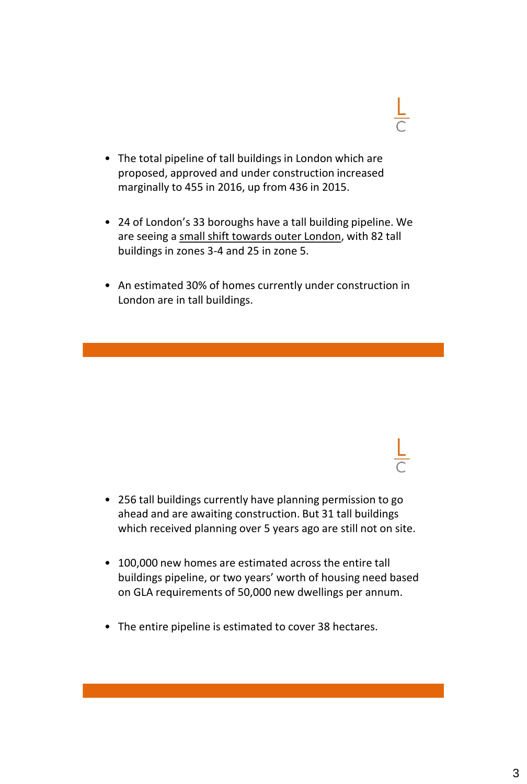- 
- The total pipeline of tall buildings in London which are proposed, approved and under construction increased marginally to 455 in 2016, up from 436 in 2015.
- 24 of London's 33 boroughs have a tall building pipeline. We are seeing a small shift towards outer London, with 82 tall buildings in zones 3-4 and 25 in zone 5.
- An estimated 30% of homes currently under construction in London are in tall buildings.

- 256 tall buildings currently have planning permission to go ahead and are awaiting construction. But 31 tall buildings which received planning over 5 years ago are still not on site.
- 100,000 new homes are estimated across the entire tall buildings pipeline, or two years' worth of housing need based on GLA requirements of 50,000 new dwellings per annum.
- The entire pipeline is estimated to cover 38 hectares.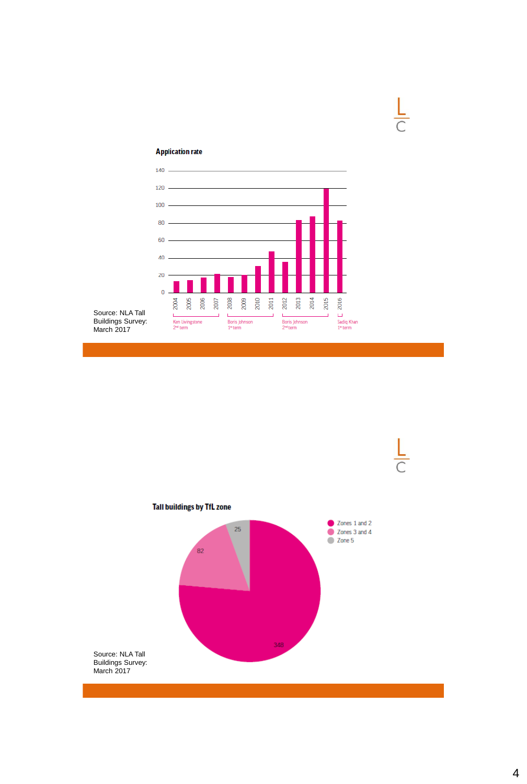



 $\frac{L}{C}$ 

Source: NLA Tall Buildings Survey: March 2017

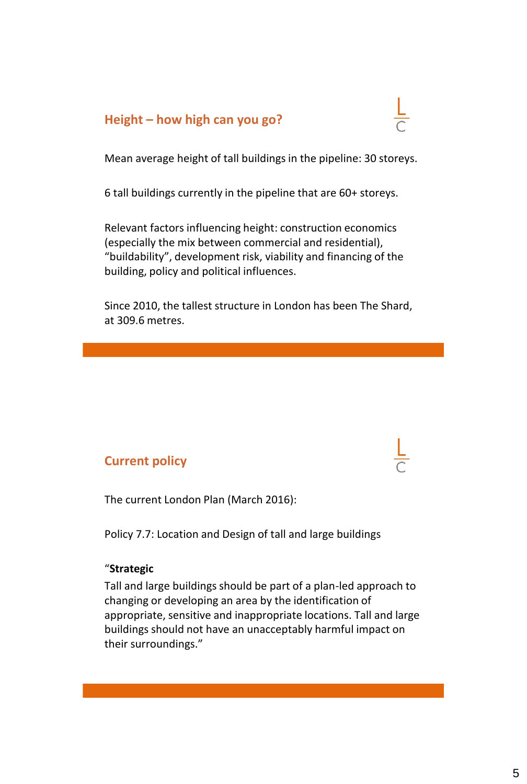### **Height – how high can you go?**

Mean average height of tall buildings in the pipeline: 30 storeys.

6 tall buildings currently in the pipeline that are 60+ storeys.

Relevant factors influencing height: construction economics (especially the mix between commercial and residential), "buildability", development risk, viability and financing of the building, policy and political influences.

Since 2010, the tallest structure in London has been The Shard, at 309.6 metres.

#### **Current policy**

The current London Plan (March 2016):

Policy 7.7: Location and Design of tall and large buildings

#### "**Strategic**

Tall and large buildings should be part of a plan-led approach to changing or developing an area by the identification of appropriate, sensitive and inappropriate locations. Tall and large buildings should not have an unacceptably harmful impact on their surroundings."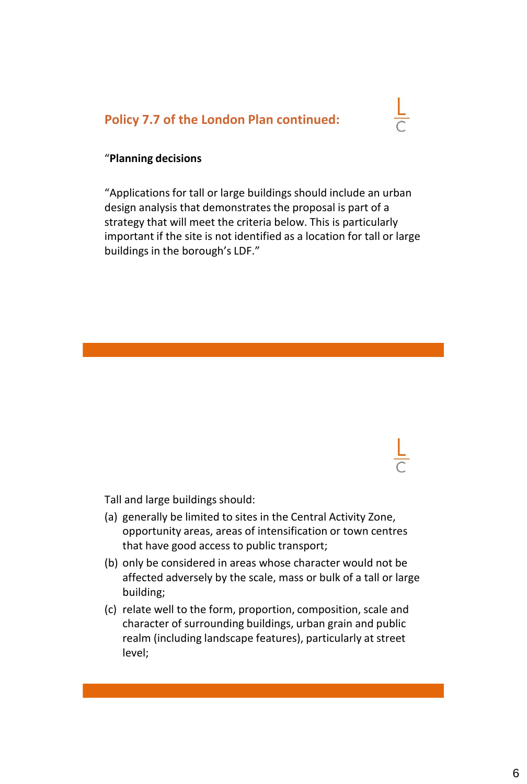#### **Policy 7.7 of the London Plan continued:**

#### "**Planning decisions**

"Applications for tall or large buildings should include an urban design analysis that demonstrates the proposal is part of a strategy that will meet the criteria below. This is particularly important if the site is not identified as a location for tall or large buildings in the borough's LDF."

Tall and large buildings should:

- (a) generally be limited to sites in the Central Activity Zone, opportunity areas, areas of intensification or town centres that have good access to public transport;
- (b) only be considered in areas whose character would not be affected adversely by the scale, mass or bulk of a tall or large building;
- (c) relate well to the form, proportion, composition, scale and character of surrounding buildings, urban grain and public realm (including landscape features), particularly at street level;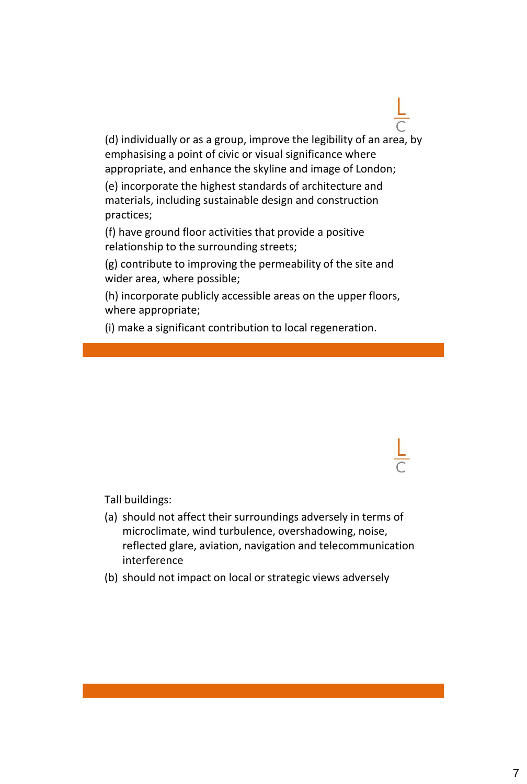(d) individually or as a group, improve the legibility of an area, by emphasising a point of civic or visual significance where appropriate, and enhance the skyline and image of London;

(e) incorporate the highest standards of architecture and materials, including sustainable design and construction practices;

(f) have ground floor activities that provide a positive relationship to the surrounding streets;

(g) contribute to improving the permeability of the site and wider area, where possible;

(h) incorporate publicly accessible areas on the upper floors, where appropriate;

(i) make a significant contribution to local regeneration.

Tall buildings:

- (a) should not affect their surroundings adversely in terms of microclimate, wind turbulence, overshadowing, noise, reflected glare, aviation, navigation and telecommunication interference
- (b) should not impact on local or strategic views adversely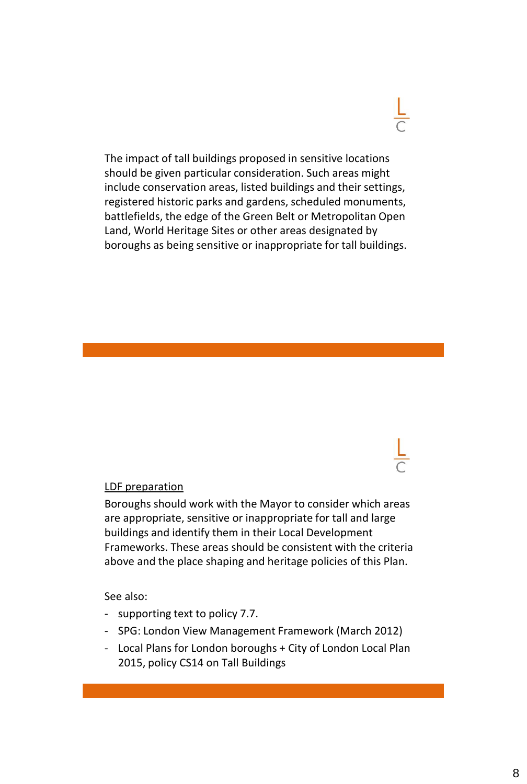The impact of tall buildings proposed in sensitive locations should be given particular consideration. Such areas might include conservation areas, listed buildings and their settings, registered historic parks and gardens, scheduled monuments, battlefields, the edge of the Green Belt or Metropolitan Open Land, World Heritage Sites or other areas designated by boroughs as being sensitive or inappropriate for tall buildings.

#### LDF preparation

Boroughs should work with the Mayor to consider which areas are appropriate, sensitive or inappropriate for tall and large buildings and identify them in their Local Development Frameworks. These areas should be consistent with the criteria above and the place shaping and heritage policies of this Plan.

See also:

- supporting text to policy 7.7.
- SPG: London View Management Framework (March 2012)
- Local Plans for London boroughs + City of London Local Plan 2015, policy CS14 on Tall Buildings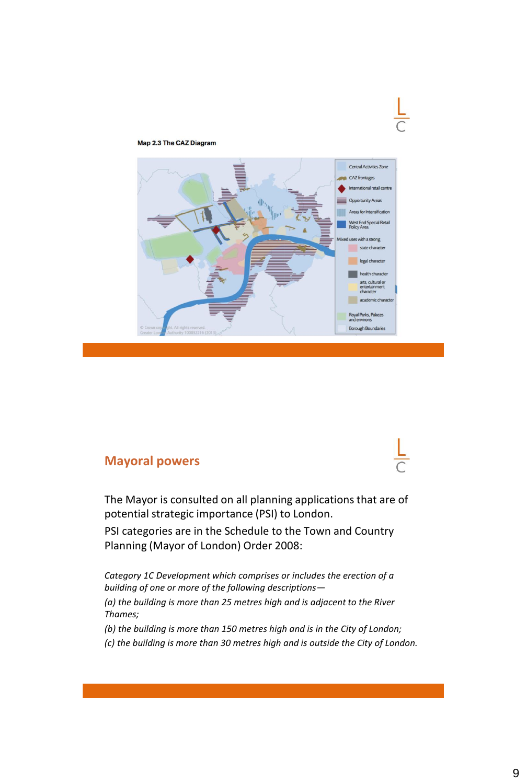

#### Map 2.3 The CAZ Diagram

#### **Mayoral powers**



The Mayor is consulted on all planning applications that are of potential strategic importance (PSI) to London.

PSI categories are in the Schedule to the Town and Country Planning (Mayor of London) Order 2008:

*Category 1C Development which comprises or includes the erection of a building of one or more of the following descriptions—*

*(a) the building is more than 25 metres high and is adjacent to the River Thames;*

*(b) the building is more than 150 metres high and is in the City of London;*

*(c) the building is more than 30 metres high and is outside the City of London.*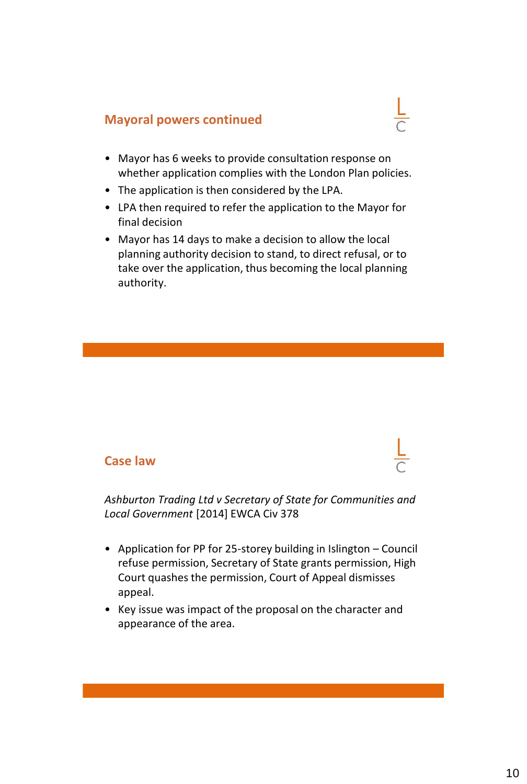## **Mayoral powers continued**

- Mayor has 6 weeks to provide consultation response on whether application complies with the London Plan policies.
- The application is then considered by the LPA.
- LPA then required to refer the application to the Mayor for final decision
- Mayor has 14 days to make a decision to allow the local planning authority decision to stand, to direct refusal, or to take over the application, thus becoming the local planning authority.

#### **Case law**

*Ashburton Trading Ltd v Secretary of State for Communities and Local Government* [2014] EWCA Civ 378

- Application for PP for 25-storey building in Islington Council refuse permission, Secretary of State grants permission, High Court quashes the permission, Court of Appeal dismisses appeal.
- Key issue was impact of the proposal on the character and appearance of the area.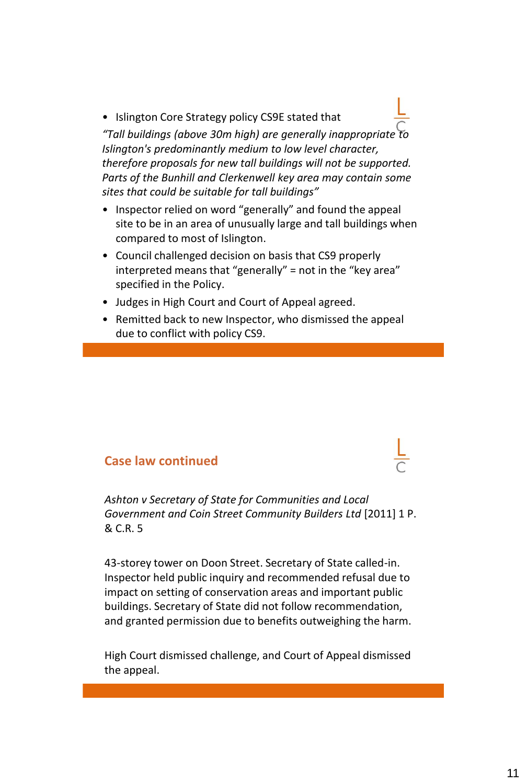• Islington Core Strategy policy CS9E stated that *"Tall buildings (above 30m high) are generally inappropriate to Islington's predominantly medium to low level character, therefore proposals for new tall buildings will not be supported. Parts of the Bunhill and Clerkenwell key area may contain some sites that could be suitable for tall buildings"*

- Inspector relied on word "generally" and found the appeal site to be in an area of unusually large and tall buildings when compared to most of Islington.
- Council challenged decision on basis that CS9 properly interpreted means that "generally" = not in the "key area" specified in the Policy.
- Judges in High Court and Court of Appeal agreed.
- Remitted back to new Inspector, who dismissed the appeal due to conflict with policy CS9.

#### **Case law continued**

*Ashton v Secretary of State for Communities and Local Government and Coin Street Community Builders Ltd* [2011] 1 P. & C.R. 5

43-storey tower on Doon Street. Secretary of State called-in. Inspector held public inquiry and recommended refusal due to impact on setting of conservation areas and important public buildings. Secretary of State did not follow recommendation, and granted permission due to benefits outweighing the harm.

High Court dismissed challenge, and Court of Appeal dismissed the appeal.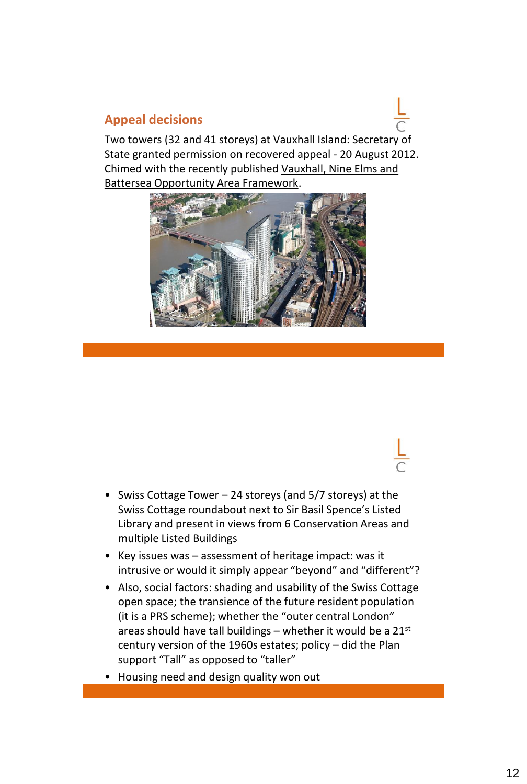#### **Appeal decisions**

Two towers (32 and 41 storeys) at Vauxhall Island: Secretary of State granted permission on recovered appeal - 20 August 2012. Chimed with the recently published Vauxhall, Nine Elms and Battersea Opportunity Area Framework.



- Swiss Cottage Tower 24 storeys (and 5/7 storeys) at the Swiss Cottage roundabout next to Sir Basil Spence's Listed Library and present in views from 6 Conservation Areas and multiple Listed Buildings
- Key issues was assessment of heritage impact: was it intrusive or would it simply appear "beyond" and "different"?
- Also, social factors: shading and usability of the Swiss Cottage open space; the transience of the future resident population (it is a PRS scheme); whether the "outer central London" areas should have tall buildings – whether it would be a  $21^{st}$ century version of the 1960s estates; policy – did the Plan support "Tall" as opposed to "taller"
- Housing need and design quality won out